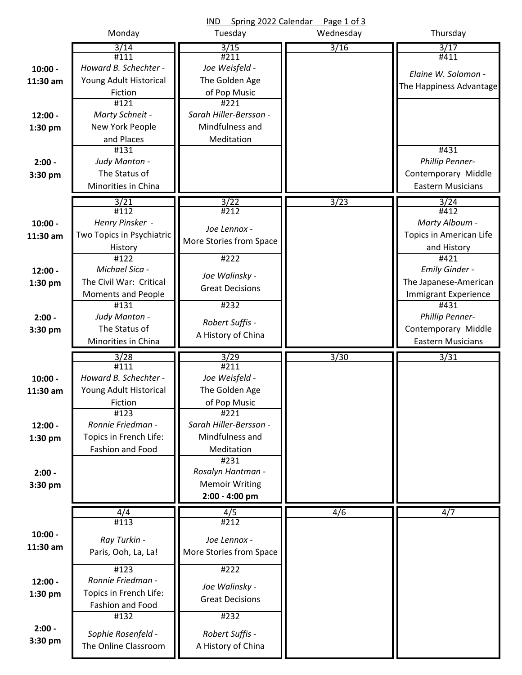|           |                                            | Spring 2022 Calendar<br><b>IND</b>    | Page 1 of 3 |                             |
|-----------|--------------------------------------------|---------------------------------------|-------------|-----------------------------|
|           | Monday                                     | Tuesday                               | Wednesday   | Thursday                    |
|           | 3/14                                       | 3/15                                  | 3/16        | 3/17                        |
|           | #111                                       | #211                                  |             | #411                        |
| $10:00 -$ | Howard B. Schechter -                      | Joe Weisfeld -                        |             | Elaine W. Solomon -         |
| 11:30 am  | Young Adult Historical                     | The Golden Age                        |             | The Happiness Advantage     |
|           | Fiction                                    | of Pop Music                          |             |                             |
|           | #121                                       | #221                                  |             |                             |
| $12:00 -$ | Marty Schneit -                            | Sarah Hiller-Bersson -                |             |                             |
| $1:30$ pm | New York People                            | Mindfulness and                       |             |                             |
|           | and Places                                 | Meditation                            |             |                             |
|           | #131                                       |                                       |             | #431                        |
| $2:00 -$  | Judy Manton -                              |                                       |             | Phillip Penner-             |
| 3:30 pm   | The Status of                              |                                       |             | Contemporary Middle         |
|           | Minorities in China                        |                                       |             | <b>Eastern Musicians</b>    |
|           | 3/21                                       | 3/22                                  | 3/23        | 3/24                        |
|           | #112                                       | #212                                  |             | #412                        |
| $10:00 -$ | Henry Pinsker -                            | Joe Lennox -                          |             | Marty Alboum -              |
| 11:30 am  | Two Topics in Psychiatric                  | More Stories from Space               |             | Topics in American Life     |
|           | History                                    |                                       |             | and History                 |
|           | $\overline{4122}$                          | #222                                  |             | #421                        |
| $12:00 -$ | Michael Sica -                             | Joe Walinsky -                        |             | <b>Emily Ginder -</b>       |
| 1:30 pm   | The Civil War: Critical                    | <b>Great Decisions</b>                |             | The Japanese-American       |
|           | <b>Moments and People</b>                  |                                       |             | <b>Immigrant Experience</b> |
|           | #131                                       | #232                                  |             | #431                        |
| $2:00 -$  | Judy Manton -                              | Robert Suffis -                       |             | Phillip Penner-             |
| 3:30 pm   | The Status of                              | A History of China                    |             | Contemporary Middle         |
|           | Minorities in China                        |                                       |             | <b>Eastern Musicians</b>    |
|           | 3/28                                       | 3/29                                  | 3/30        | 3/31                        |
|           | #111                                       | #211                                  |             |                             |
| $10:00 -$ | Howard B. Schechter -                      | Joe Weisfeld -                        |             |                             |
| 11:30 am  | Young Adult Historical                     | The Golden Age                        |             |                             |
|           | Fiction                                    | of Pop Music                          |             |                             |
|           | #123                                       | #221                                  |             |                             |
| $12:00 -$ | Ronnie Friedman -                          | Sarah Hiller-Bersson -                |             |                             |
| 1:30 pm   | Topics in French Life:                     | Mindfulness and                       |             |                             |
|           | Fashion and Food                           | Meditation                            |             |                             |
|           |                                            | #231                                  |             |                             |
| $2:00 -$  |                                            |                                       |             |                             |
|           |                                            | Rosalyn Hantman -                     |             |                             |
| 3:30 pm   |                                            | <b>Memoir Writing</b>                 |             |                             |
|           |                                            | 2:00 - 4:00 pm                        |             |                             |
|           | 4/4                                        | $\overline{4/5}$                      | 4/6         | 4/7                         |
|           | #113                                       | #212                                  |             |                             |
| $10:00 -$ |                                            |                                       |             |                             |
| 11:30 am  | Ray Turkin -                               | Joe Lennox -                          |             |                             |
|           | Paris, Ooh, La, La!                        | More Stories from Space               |             |                             |
|           | #123                                       | #222                                  |             |                             |
| $12:00 -$ | Ronnie Friedman -                          |                                       |             |                             |
| $1:30$ pm | Topics in French Life:                     | Joe Walinsky -                        |             |                             |
|           | Fashion and Food                           | <b>Great Decisions</b>                |             |                             |
|           | #132                                       | #232                                  |             |                             |
| $2:00 -$  |                                            |                                       |             |                             |
| 3:30 pm   | Sophie Rosenfeld -<br>The Online Classroom | Robert Suffis -<br>A History of China |             |                             |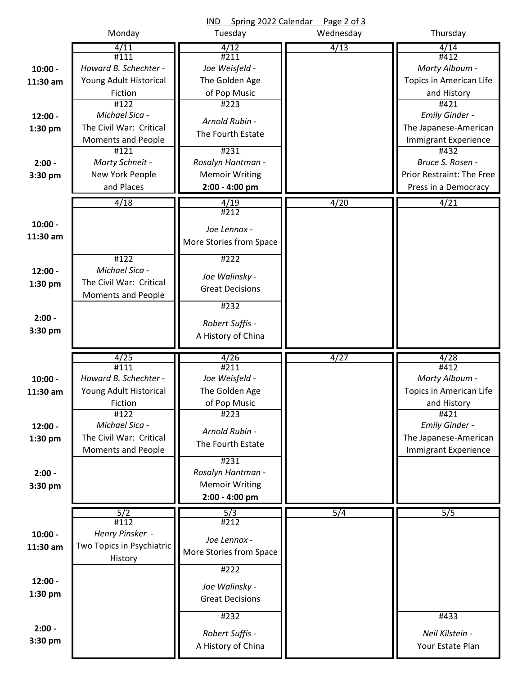|           |                           | Spring 2022 Calendar<br><b>IND</b> | Page 2 of 3 |                             |
|-----------|---------------------------|------------------------------------|-------------|-----------------------------|
|           | Monday                    | Tuesday                            | Wednesday   | Thursday                    |
|           | 4/11<br>#111              | 4/12<br>#211                       | 4/13        | 4/14<br>#412                |
| $10:00 -$ | Howard B. Schechter -     | Joe Weisfeld -                     |             | Marty Alboum -              |
| 11:30 am  | Young Adult Historical    | The Golden Age                     |             | Topics in American Life     |
|           | Fiction                   | of Pop Music                       |             | and History                 |
|           | $\overline{4122}$         | #223                               |             | #421                        |
| $12:00 -$ | Michael Sica -            |                                    |             | Emily Ginder -              |
| $1:30$ pm | The Civil War: Critical   | Arnold Rubin -                     |             | The Japanese-American       |
|           | <b>Moments and People</b> | The Fourth Estate                  |             | <b>Immigrant Experience</b> |
|           | #121                      | #231                               |             | #432                        |
| $2:00 -$  | Marty Schneit -           | Rosalyn Hantman -                  |             | Bruce S. Rosen -            |
| 3:30 pm   | New York People           | <b>Memoir Writing</b>              |             | Prior Restraint: The Free   |
|           | and Places                | 2:00 - 4:00 pm                     |             | Press in a Democracy        |
|           | 4/18                      | 4/19                               | 4/20        | 4/21                        |
|           |                           | #212                               |             |                             |
| $10:00 -$ |                           | Joe Lennox -                       |             |                             |
| 11:30 am  |                           | More Stories from Space            |             |                             |
|           |                           |                                    |             |                             |
|           | #122                      | #222                               |             |                             |
| $12:00 -$ | Michael Sica -            | Joe Walinsky -                     |             |                             |
| 1:30 pm   | The Civil War: Critical   | <b>Great Decisions</b>             |             |                             |
|           | <b>Moments and People</b> | #232                               |             |                             |
| $2:00 -$  |                           |                                    |             |                             |
| 3:30 pm   |                           | Robert Suffis -                    |             |                             |
|           |                           | A History of China                 |             |                             |
|           |                           |                                    |             |                             |
|           |                           |                                    |             |                             |
|           | 4/25<br>#111              | 4/26<br>#211                       | 4/27        | 4/28<br>#412                |
| $10:00 -$ | Howard B. Schechter -     | Joe Weisfeld -                     |             | Marty Alboum -              |
| 11:30 am  | Young Adult Historical    | The Golden Age                     |             | Topics in American Life     |
|           | Fiction                   | of Pop Music                       |             | and History                 |
|           | #122                      | #223                               |             | #421                        |
| $12:00 -$ | Michael Sica -            | Arnold Rubin -                     |             | Emily Ginder -              |
| 1:30 pm   | The Civil War: Critical   | The Fourth Estate                  |             | The Japanese-American       |
|           | <b>Moments and People</b> |                                    |             | <b>Immigrant Experience</b> |
|           |                           | #231                               |             |                             |
| $2:00 -$  |                           | Rosalyn Hantman -                  |             |                             |
| 3:30 pm   |                           | <b>Memoir Writing</b>              |             |                             |
|           |                           | 2:00 - 4:00 pm                     |             |                             |
|           | 5/2                       | 5/3                                | 5/4         | 5/5                         |
|           | #112                      | #212                               |             |                             |
| $10:00 -$ | Henry Pinsker -           | Joe Lennox -                       |             |                             |
| 11:30 am  | Two Topics in Psychiatric | More Stories from Space            |             |                             |
|           | History                   | #222                               |             |                             |
| $12:00 -$ |                           |                                    |             |                             |
| $1:30$ pm |                           | Joe Walinsky -                     |             |                             |
|           |                           | <b>Great Decisions</b>             |             |                             |
|           |                           | #232                               |             | #433                        |
| $2:00 -$  |                           | Robert Suffis -                    |             | Neil Kilstein -             |
| 3:30 pm   |                           | A History of China                 |             | Your Estate Plan            |